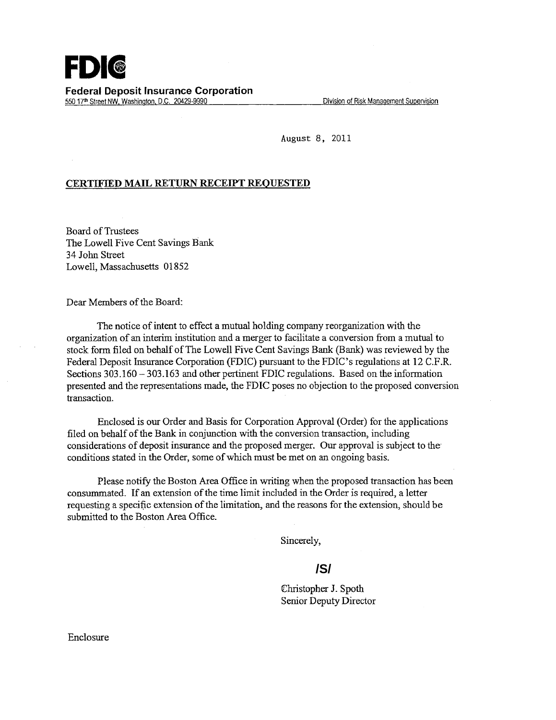August 8, 2011

## **CERTWIED MAIL RETURN RECEIPT REQUESTED**

Board of Trustees The Lowell Five Cent Savings Bank 34 John Street Lowell, Massachusetts 01852

Dear Members of the Board:

The notice of intent to effect a mutual holding company reorganization with the organization of an interim institution and a merger to facilitate a conversion from a mutual to stock form filed on behalf of The Lowell Five Cent Savings Bank (Bank) was reviewed by the Federal Deposit Insurance Corporation (FDIC) pursuant to the FDIC's regulations at 12 C.F.R. Sections 303.160 - 303.163 and other pertinent FDIC regulations. Based on the information presented and the representations made, the FDIC poses no objection to the proposed conversion transaction.

Enclosed is our Order and Basis for Corporation Approval (Order) for the applications filed on behalf of the Bank in conjunction with the conversion transaction, including considerations of deposit insurance and the proposed merger. Our approval is subject to the conditions stated in the Order, some of which must be met on an ongoing basis.

Please notify the Boston Area Office in writing when the proposed transaction has been consummated. If an extension of the time limit included in the Order is required, a letter requesting a specific extension of the limitation, and the reasons for the extension, should be submitted to the Boston Area Office.

Sincerely,

## **/S/**

Christopher *J.* Spoth Senior Deputy Director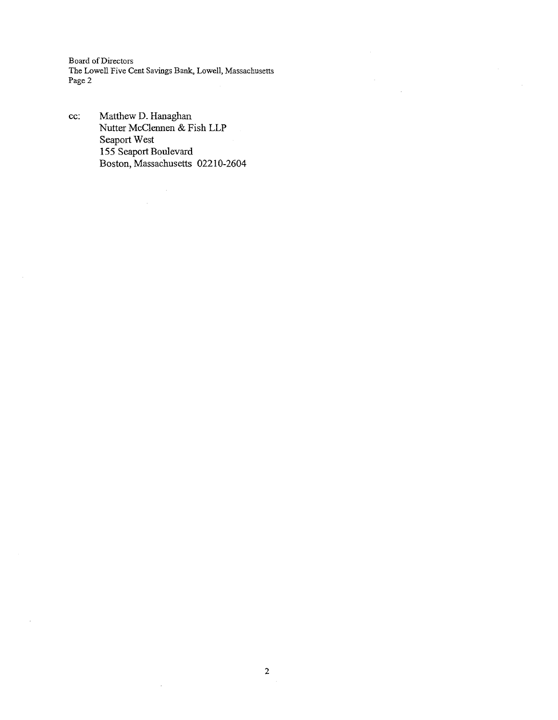Board of Directors The Lowell Five Cent Savings Bank, Lowell, Massachusetts Page2

 $\frac{1}{2}$ 

cc: Matthew D. Hanaghan Nutter McClennen & Fish LLP Seaport West 155 Seaport Boulevard Boston, Massachusetts 02210-2604

 $\mathcal{A}$ 

 $\bar{\omega}$ 

 $\mathcal{L}^{\mathcal{L}}$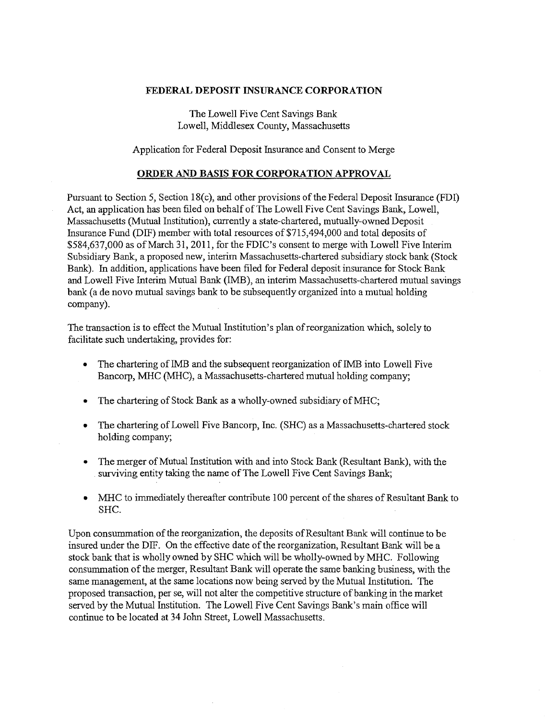## **FEDERAL DEPOSIT INSURANCE CORPORATION**

The Lowell Five Cent Savings Bank Lowell, Middlesex County, Massachusetts

Application for Federal Deposit Insurance and Consent to Merge

## **ORDER AND BASIS FOR CORPORATION APPROVAL**

Pursuant to Section 5, Section 18(c), and other provisions of the Federal Deposit Insurance (FDI) Act, an application has been filed on behalf of The Lowell Five Cent Savings Bank, Lowell, Massachusetts (Mutual Institution), currently a state-chartered, mutually-owned Deposit Insurance Fund (DIF) member with total resources of \$715,494,000 and total deposits of \$584,637,000 as of March 31, 2011, for the FDIC's consent to merge with Lowell Five Interim Subsidiary Bank, a proposed new, interim Massachusetts-chartered subsidiary stock bank (Stock Bank). In addition, applications have been filed for Federal deposit insurance for Stock Bank and Lowell Five Interim Mutual Bank (IMB), an interim Massachusetts-chartered mutual savings bank (a de novo mutual savings bank to be subsequently organized into a mutual holding company).

The transaction is to effect the Mutual Institution's plan of reorganization which, solely to facilitate such undertaking, provides for:

- The chartering of IMB and the subsequent reorganization of IMB into Lowell Five Bancorp, MHC (MHC), a Massachusetts-chartered mutual holding company;
- The chartering of Stock Bank as a wholly-owned subsidiary of MHC;
- The chartering of Lowell Five Bancorp, Inc. (SHC) as a Massachusetts-chartered stock holding company;
- The merger of Mutual Institution with and into Stock Bank (Resultant Bank), with the surviving entity taking the name of The Lowell Five Cent Savings Bank;
- MHC to immediately thereafter contribute 100 percent of the shares of Resultant Bank to SHC.

Upon consummation of the reorganization, the deposits of Resultant Bank will continue to be insured under the DIF. On the effective date of the reorganization, Resultant Bank will be a stock bank that is wholly owned by SHC which will be wholly-owned by MHC. Following consummation of the merger, Resultant Bank will operate the same banking business, with the same management, at the same locations now being served by the Mutual Institution. The proposed transaction, per se, will not alter the competitive structure of banking in the market served by the Mutual Institution. The Lowell Five Cent Savings Bank's main office will continue to be located at 34 John Street, Lowell Massachusetts.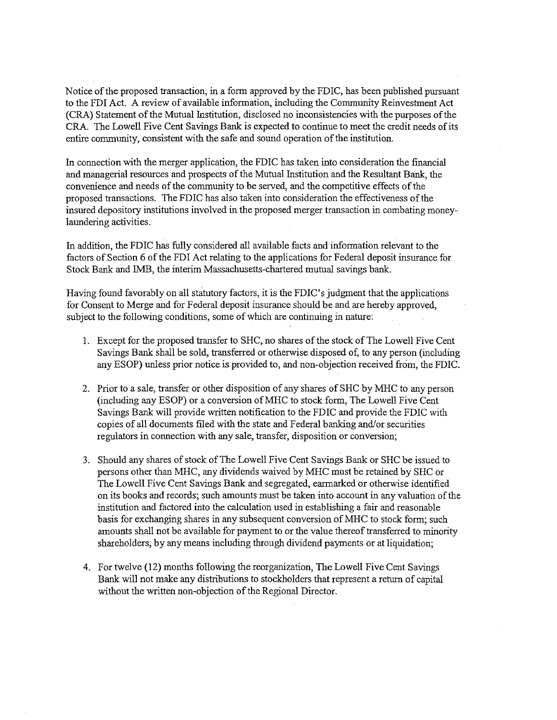Notice of the proposed transaction, in a form approved by the FDIC, has been published pursuant to the FDI Act. A review of available information, including the Community Reinvestment Act (CRA) Statement of the Mutual Institution, disclosed no inconsistencies with the purposes of the CRA. The Lowell Five Cent Savings Bank is expected to continue to meet the credit needs of its entire community, consistent with the safe and sound operation of the institution.

In connection with the merger application, the FDIC has taken into consideration the financial and managerial resources and prospects of the Mutual Institution and the Resultant Bank, the convenience and needs of the community to be served, and the competitive effects of the proposed transactions. The FDIC has also taken into consideration the effectiveness of the insured depository institutions involved in the proposed merger transaction in combating moneylaundering activities.

In addition, the FDIC has fully considered all available facts and information relevant to the factors of Section 6 of the FDI Act relating to the applications for Federal deposit insurance for Stock Bank and IMB, the interim Massachusetts-chartered mutual savings bank.

Having found favorably on all statutory factors, it is the FDIC's judgment that the applications for Consent to Merge and for Federal deposit insurance should be and are hereby approved, subject to the following conditions, some of which are continuing in nature:

- 1. Except for the proposed transfer to SHC, no shares of the stock of The Lowell Five Cent Savings Bank shall be sold, transferred or otherwise disposed of, to any person (including any ESOP) unless prior notice is provided to, and non-objection received from, the FDIC.
- 2. Prior to a sale, transfer or other disposition of any shares of SHC by MHC to any person (including any ESOP) or a conversion ofMHC to stock form, The Lowell Five Cent Savings Bank will provide written notification to the FDIC and provide the FDIC with copies of all documents filed with the state and Federal banking and/or securities regulators in connection with any sale, transfer, disposition or conversion;
- 3. Should any shares of stock ofThe Lowell Five Cent Savings Bank or SHC be issued to persons other than MHC, any dividends waived by MHC must be retained by SHC or The Lowell Five Cent Savings Bank and segregated, earmarked or otherwise identified on its books and records; such amounts must be taken into account in any valuation of the institution and factored into the calculation used in establishing a fair and reasonable basis for exchanging shares in any subsequent conversion ofMHC to stock form; such amounts shall not be available for payment to or the value thereof transferred to minority shareholders, by any means including through dividend payments or at liquidation;
- 4. For twelve (12) months following the reorganization, The Lowell Five Cent Savings Bank will not make any distributions to stockholders that represent a return of capital without the written non-objection of the Regional Director.